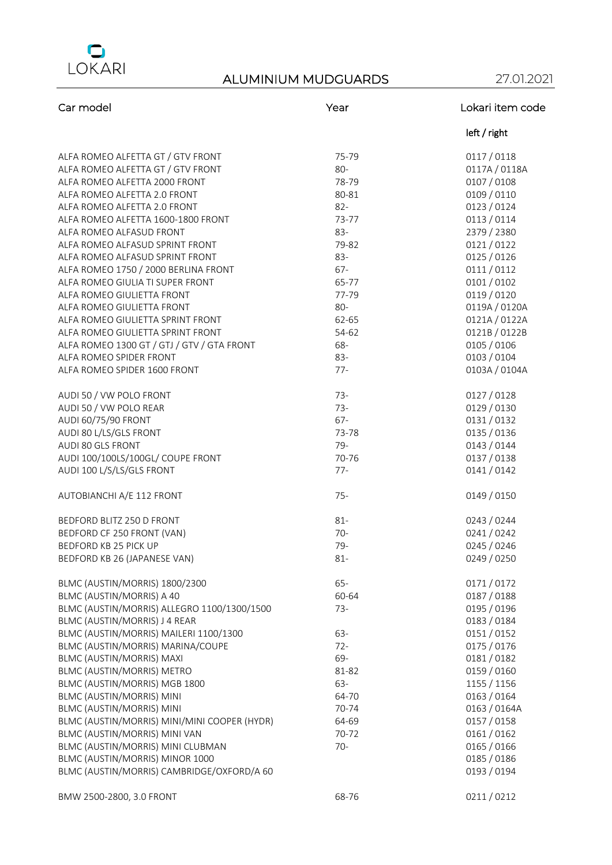

| Car model                                    | Year   | Lokari item code |
|----------------------------------------------|--------|------------------|
|                                              |        | left / right     |
| ALFA ROMEO ALFETTA GT / GTV FRONT            | 75-79  | 0117/0118        |
| ALFA ROMEO ALFETTA GT / GTV FRONT            | 80-    | 0117A / 0118A    |
| ALFA ROMEO ALFETTA 2000 FRONT                | 78-79  | 0107 / 0108      |
| ALFA ROMEO ALFETTA 2.0 FRONT                 | 80-81  | 0109 / 0110      |
| ALFA ROMEO ALFETTA 2.0 FRONT                 | $82 -$ | 0123 / 0124      |
| ALFA ROMEO ALFETTA 1600-1800 FRONT           | 73-77  | 0113/0114        |
| ALFA ROMEO ALFASUD FRONT                     | 83-    | 2379 / 2380      |
| ALFA ROMEO ALFASUD SPRINT FRONT              | 79-82  | 0121/0122        |
| ALFA ROMEO ALFASUD SPRINT FRONT              | 83-    | 0125 / 0126      |
| ALFA ROMEO 1750 / 2000 BERLINA FRONT         | $67 -$ | 0111/0112        |
| ALFA ROMEO GIULIA TI SUPER FRONT             | 65-77  | 0101/0102        |
| ALFA ROMEO GIULIETTA FRONT                   | 77-79  | 0119 / 0120      |
| ALFA ROMEO GIULIETTA FRONT                   | 80-    | 0119A / 0120A    |
| ALFA ROMEO GIULIETTA SPRINT FRONT            | 62-65  | 0121A / 0122A    |
| ALFA ROMEO GIULIETTA SPRINT FRONT            | 54-62  | 0121B / 0122B    |
| ALFA ROMEO 1300 GT / GTJ / GTV / GTA FRONT   | 68-    | 0105 / 0106      |
| ALFA ROMEO SPIDER FRONT                      | 83-    | 0103 / 0104      |
| ALFA ROMEO SPIDER 1600 FRONT                 | $77 -$ | 0103A / 0104A    |
| AUDI 50 / VW POLO FRONT                      | $73-$  | 0127 / 0128      |
| AUDI 50 / VW POLO REAR                       | $73-$  | 0129 / 0130      |
| AUDI 60/75/90 FRONT                          | $67 -$ | 0131/0132        |
| AUDI 80 L/LS/GLS FRONT                       | 73-78  | 0135 / 0136      |
| AUDI 80 GLS FRONT                            | 79-    | 0143 / 0144      |
| AUDI 100/100LS/100GL/ COUPE FRONT            | 70-76  | 0137 / 0138      |
| AUDI 100 L/S/LS/GLS FRONT                    | $77-$  | 0141/0142        |
| AUTOBIANCHI A/E 112 FRONT                    | $75 -$ | 0149 / 0150      |
| BEDFORD BLITZ 250 D FRONT                    | $81 -$ | 0243 / 0244      |
| BEDFORD CF 250 FRONT (VAN)                   | $70-$  | 0241/0242        |
| BEDFORD KB 25 PICK UP                        | 79-    | 0245 / 0246      |
| BEDFORD KB 26 (JAPANESE VAN)                 | $81 -$ | 0249 / 0250      |
| BLMC (AUSTIN/MORRIS) 1800/2300               | $65 -$ | 0171/0172        |
| BLMC (AUSTIN/MORRIS) A 40                    | 60-64  | 0187 / 0188      |
| BLMC (AUSTIN/MORRIS) ALLEGRO 1100/1300/1500  | $73-$  | 0195 / 0196      |
| BLMC (AUSTIN/MORRIS) J 4 REAR                |        | 0183 / 0184      |
| BLMC (AUSTIN/MORRIS) MAILERI 1100/1300       | 63-    | 0151/0152        |
| BLMC (AUSTIN/MORRIS) MARINA/COUPE            | $72 -$ | 0175 / 0176      |
| <b>BLMC (AUSTIN/MORRIS) MAXI</b>             | 69-    | 0181/0182        |
| BLMC (AUSTIN/MORRIS) METRO                   | 81-82  | 0159 / 0160      |
| BLMC (AUSTIN/MORRIS) MGB 1800                | 63-    | 1155 / 1156      |
| BLMC (AUSTIN/MORRIS) MINI                    | 64-70  | 0163 / 0164      |
| BLMC (AUSTIN/MORRIS) MINI                    | 70-74  | 0163 / 0164A     |
| BLMC (AUSTIN/MORRIS) MINI/MINI COOPER (HYDR) | 64-69  | 0157 / 0158      |
| BLMC (AUSTIN/MORRIS) MINI VAN                | 70-72  | 0161/0162        |
| BLMC (AUSTIN/MORRIS) MINI CLUBMAN            | $70-$  | 0165 / 0166      |
| BLMC (AUSTIN/MORRIS) MINOR 1000              |        | 0185 / 0186      |
| BLMC (AUSTIN/MORRIS) CAMBRIDGE/OXFORD/A 60   |        | 0193 / 0194      |
| BMW 2500-2800, 3.0 FRONT                     | 68-76  | 0211/0212        |
|                                              |        |                  |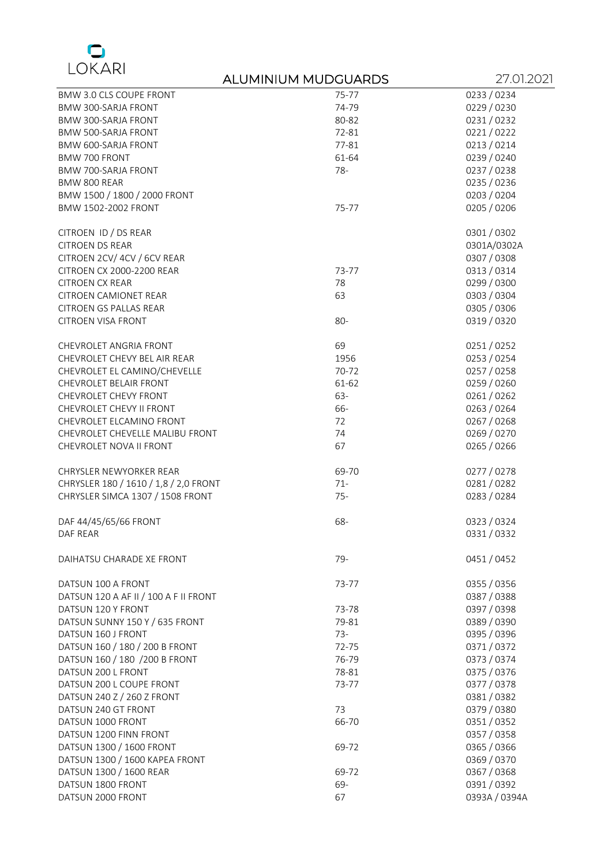

### ALUMINIUM MUDGUARDS 27.01.2021 BMW 3.0 CLS COUPE FRONT 75-77 0233 / 0234 BMW 300-SARJA FRONT 74-79 0229 / 0230 BMW 300-SARJA FRONT BMW 500-SARJA FRONT **12000 12000 12000 12000 12000 12000 12000 12000 12000 12000 12000 12000 12000 12000 12000 1200** BMW 600-SARJA FRONT **1200-SARJA FRONT** 2001 1200-2014 1200-2014 1200-2014 1200-2014 1200-2014 1200-2014 1200-2014 BMW 700 FRONT 61-64 61-64 0239 / 0240 BMW 700-SARJA FRONT **78-** 0237 / 0238 BMW 800 REAR 0235 / 0236 PM 200 REAR BMW 1500 / 1800 / 2000 FRONT 6 0203 / 2000 0204<br>BMW 1502-2002 FRONT 6 0205 / 2006 0205 / 2006 0205 / 2006 0205 / 2006 BMW 1502-2002 FRONT CITROEN ID / DS REAR 0301 / 0302 **CITROEN DS REAR** CITROEN 2CV/ 4CV / 6CV REAR 0307 / 0308 CITROEN CX 2000-2200 REAR 73-77 73-77 0313 / 0314 CITROEN CX REAR 78 0299 / 0300 CITROEN CAMIONET REAR 63 63 0303 / 0304 CITROEN GS PALLAS REAR 0305 / 0306 CITROEN VISA FRONT **80-** 0319 / 0320 CHEVROLET ANGRIA FRONT CHEVROLET ANGRIA FRONT CHEVROLET ANGRIA FRONT CHEVROLET CHEVY BEL AIR REAR 1956 1956 1956 1956 1957 1958 19254 CHEVROLET EL CAMINO/CHEVELLE  $70-72$  70-72 0257 / 0258 CHEVROLET BELAIR FRONT **61-62** 61-62 61-62 61-62 61-62 61-62 61-62 61-62 6259 / 0260 CHEVROLET CHEVY FRONT CHARGE CHEVROLET CHEVY FRONT CHARGE CHEVROLET CHEVY FRONT CHEVROLET CHEVY II FRONT **66-** 0263 / 0264 CHEVROLET ELCAMINO FRONT 72 0267 / 0268 CHEVROLET CHEVELLE MALIBU FRONT CHEVROLET NOVA II FRONT **67** 0265 / 0266 0265 0266 CHRYSLER NEWYORKER REAR **69-70** 69-70 69-70 0277 / 0278 CHRYSLER 180 / 1610 / 1,8 / 2,0 FRONT 71- 71- 0281 / 0282 / 0282 CHRYSLER SIMCA 1307 / 1508 FRONT 75- 75- 75- 0283 / 0284 DAF 44/45/65/66 FRONT 68- 0323 / 0324 DAF REAR 0331 / 0332

DAIHATSU CHARADE XE FRONT CONTROL 199- 29- 2012 12:30 2014 12:30 2014 12:30 2015 2016 2017 2018 2019 2014 2015 DATSUN 100 A FRONT 23-77 23-77 23-77 0355 / 0355 / 0356 DATSUN 120 A AF II / 100 A F II FRONT **120 A AF II FRONT** 0387 / 0388 DATSUN 120 Y FRONT **120 Y FRONT** 2004 120 YO 2004 120 YO 2004 120 YO 2004 2012 12:00:00 2004 2012 2022 2030 204 DATSUN SUNNY 150 Y / 635 FRONT 79-81 79-81 0389 / 0390 DATSUN 160 J FRONT **160 AM AND 160 J FRONT** 23- 23- 23- 23- 2396 / 0395 / 0396 / 0396 / 0396 / 0396 / 0396 / 0396 DATSUN 160 / 180 / 200 B FRONT 72-75 0371 / 0372 DATSUN 160 / 180 / 200 B FRONT 76-79 76-79 0373 / 0374 DATSUN 200 L FRONT 78-81 0375 / 0376 DATSUN 200 L COUPE FRONT 73-77 DATSUN 240 Z / 260 Z FRONT 20081 / 20081 / 200912 / 200912 / 200912 / 200912 / 200912 / 200912 / 200912 / 2009 DATSUN 240 GT FRONT 73 0379 / 0380 DATSUN 1000 FRONT **1000 FRONT** 66-70 66-70 66-70 0351 / 0352 DATSUN 1200 FINN FRONT **DATSUN 1200 FINN FRONT** DATSUN 1300 / 1600 FRONT 69-72 69-72 0365 / 0365 / 0366 DATSUN 1300 / 1600 KAPEA FRONT **0369 / 0370** DATSUN 1300 / 1600 REAR 69-72 69-72 0367 / 0367 / 0368 DATSUN 1800 FRONT CONTROL CONTROL CONTROL CONTROL CONTROL CONTROL CONTROL CONTROL CONTROL CONTROL CONTROL CONTROL CONTROL CONTROL CONTROL CONTROL CONTROL CONTROL CONTROL CONTROL CONTROL CONTROL CONTROL CONTROL CONTROL CONT DATSUN 2000 FRONT 67 0393A / 0394A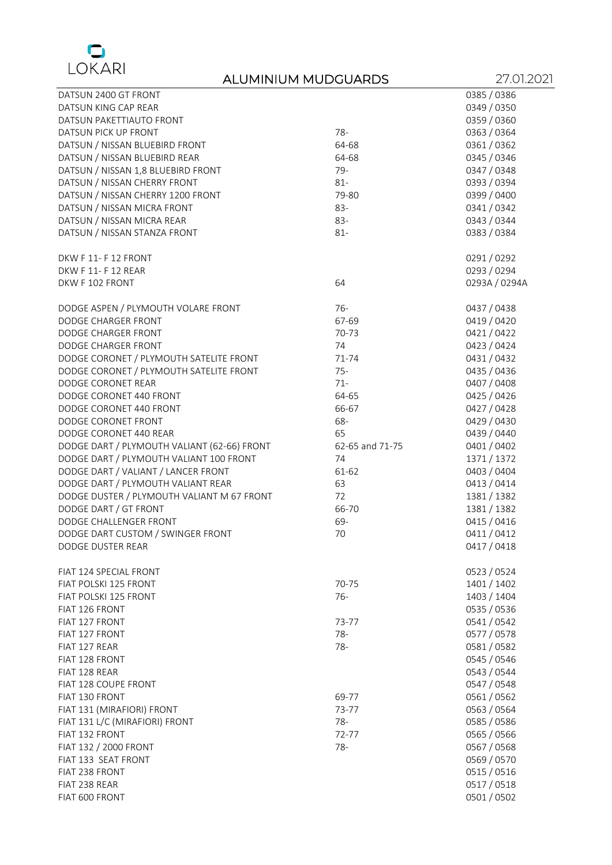

| DATSUN 2400 GT FRONT                        |                 | 0385 / 0386   |
|---------------------------------------------|-----------------|---------------|
| DATSUN KING CAP REAR                        |                 | 0349 / 0350   |
| DATSUN PAKETTIAUTO FRONT                    |                 | 0359 / 0360   |
| DATSUN PICK UP FRONT                        | 78-             | 0363 / 0364   |
| DATSUN / NISSAN BLUEBIRD FRONT              | 64-68           | 0361/0362     |
| DATSUN / NISSAN BLUEBIRD REAR               | 64-68           | 0345 / 0346   |
| DATSUN / NISSAN 1,8 BLUEBIRD FRONT          | $79-$           | 0347 / 0348   |
| DATSUN / NISSAN CHERRY FRONT                | $81 -$          | 0393 / 0394   |
| DATSUN / NISSAN CHERRY 1200 FRONT           | 79-80           | 0399 / 0400   |
| DATSUN / NISSAN MICRA FRONT                 | 83-             | 0341/0342     |
| DATSUN / NISSAN MICRA REAR                  | 83-             | 0343 / 0344   |
| DATSUN / NISSAN STANZA FRONT                | $81 -$          | 0383 / 0384   |
| DKW F 11- F 12 FRONT                        |                 | 0291/0292     |
| DKW F 11- F 12 REAR                         |                 | 0293 / 0294   |
| DKW F 102 FRONT                             | 64              | 0293A / 0294A |
| DODGE ASPEN / PLYMOUTH VOLARE FRONT         | $76-$           | 0437 / 0438   |
| DODGE CHARGER FRONT                         | 67-69           | 0419 / 0420   |
| DODGE CHARGER FRONT                         | 70-73           | 0421/0422     |
| DODGE CHARGER FRONT                         | 74              | 0423 / 0424   |
| DODGE CORONET / PLYMOUTH SATELITE FRONT     | 71-74           | 0431/0432     |
| DODGE CORONET / PLYMOUTH SATELITE FRONT     | $75 -$          | 0435 / 0436   |
| DODGE CORONET REAR                          | $71 -$          | 0407 / 0408   |
| DODGE CORONET 440 FRONT                     | 64-65           | 0425 / 0426   |
| DODGE CORONET 440 FRONT                     | 66-67           | 0427 / 0428   |
| DODGE CORONET FRONT                         | 68-             | 0429 / 0430   |
| DODGE CORONET 440 REAR                      | 65              | 0439 / 0440   |
| DODGE DART / PLYMOUTH VALIANT (62-66) FRONT | 62-65 and 71-75 | 0401 / 0402   |
| DODGE DART / PLYMOUTH VALIANT 100 FRONT     | 74              | 1371 / 1372   |
| DODGE DART / VALIANT / LANCER FRONT         | 61-62           | 0403 / 0404   |
| DODGE DART / PLYMOUTH VALIANT REAR          | 63              | 0413 / 0414   |
| DODGE DUSTER / PLYMOUTH VALIANT M 67 FRONT  | 72              | 1381 / 1382   |
| DODGE DART / GT FRONT                       | 66-70           | 1381 / 1382   |
| DODGE CHALLENGER FRONT                      | 69-             | 0415 / 0416   |
| DODGE DART CUSTOM / SWINGER FRONT           | 70              | 0411/0412     |
| DODGE DUSTER REAR                           |                 | 0417 / 0418   |
| FIAT 124 SPECIAL FRONT                      |                 | 0523 / 0524   |
| FIAT POLSKI 125 FRONT                       | 70-75           | 1401 / 1402   |
| FIAT POLSKI 125 FRONT                       | $76-$           | 1403 / 1404   |
| FIAT 126 FRONT                              |                 | 0535 / 0536   |
| FIAT 127 FRONT                              | 73-77           | 0541 / 0542   |
| FIAT 127 FRONT                              | $78-$           | 0577 / 0578   |
| FIAT 127 REAR                               | $78 -$          | 0581/0582     |
| FIAT 128 FRONT                              |                 | 0545 / 0546   |
| FIAT 128 REAR                               |                 | 0543 / 0544   |
| FIAT 128 COUPE FRONT                        |                 | 0547 / 0548   |
| FIAT 130 FRONT                              | 69-77           | 0561 / 0562   |
| FIAT 131 (MIRAFIORI) FRONT                  | 73-77           | 0563 / 0564   |
| FIAT 131 L/C (MIRAFIORI) FRONT              | $78-$           | 0585 / 0586   |
| <b>FIAT 132 FRONT</b>                       | 72-77           | 0565 / 0566   |
| FIAT 132 / 2000 FRONT                       | $78 -$          | 0567 / 0568   |
| FIAT 133 SEAT FRONT                         |                 | 0569 / 0570   |
| FIAT 238 FRONT                              |                 | 0515 / 0516   |
| FIAT 238 REAR                               |                 | 0517 / 0518   |
| FIAT 600 FRONT                              |                 | 0501 / 0502   |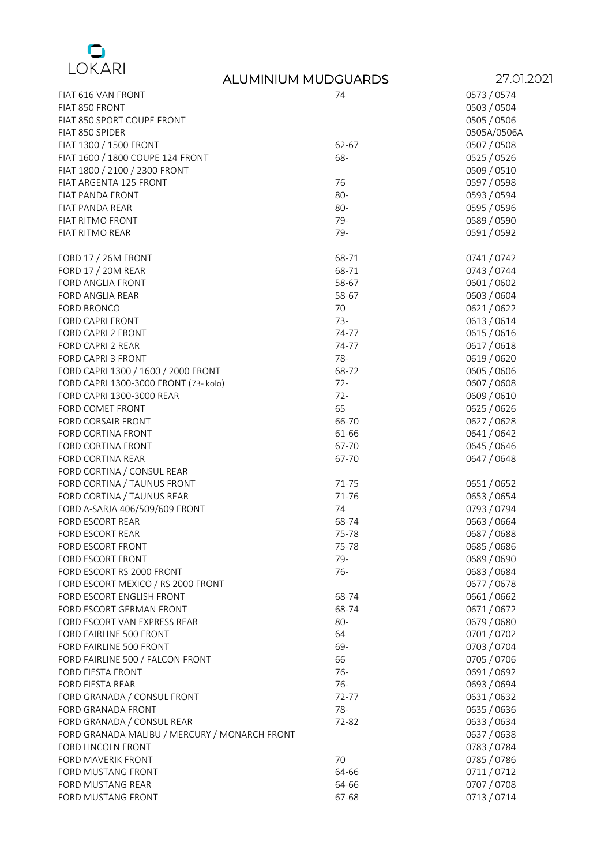

| FIAT 616 VAN FRONT                            | 74     | 0573 / 0574 |
|-----------------------------------------------|--------|-------------|
| FIAT 850 FRONT                                |        | 0503 / 0504 |
| FIAT 850 SPORT COUPE FRONT                    |        | 0505 / 0506 |
| FIAT 850 SPIDER                               |        | 0505A/0506A |
| FIAT 1300 / 1500 FRONT                        | 62-67  | 0507 / 0508 |
| FIAT 1600 / 1800 COUPE 124 FRONT              | 68-    | 0525 / 0526 |
| FIAT 1800 / 2100 / 2300 FRONT                 |        | 0509 / 0510 |
| FIAT ARGENTA 125 FRONT                        | 76     | 0597 / 0598 |
| FIAT PANDA FRONT                              | $80 -$ | 0593 / 0594 |
| FIAT PANDA REAR                               | 80-    | 0595 / 0596 |
| FIAT RITMO FRONT                              | 79-    | 0589 / 0590 |
| FIAT RITMO REAR                               | 79-    | 0591 / 0592 |
|                                               |        |             |
| FORD 17 / 26M FRONT                           | 68-71  | 0741/0742   |
| FORD 17 / 20M REAR                            | 68-71  | 0743 / 0744 |
| FORD ANGLIA FRONT                             | 58-67  | 0601 / 0602 |
| FORD ANGLIA REAR                              | 58-67  | 0603 / 0604 |
| FORD BRONCO                                   | 70     | 0621/0622   |
| FORD CAPRI FRONT                              | $73-$  | 0613 / 0614 |
| FORD CAPRI 2 FRONT                            | 74-77  | 0615 / 0616 |
| FORD CAPRI 2 REAR                             | 74-77  | 0617 / 0618 |
| FORD CAPRI 3 FRONT                            | $78 -$ | 0619 / 0620 |
| FORD CAPRI 1300 / 1600 / 2000 FRONT           | 68-72  | 0605 / 0606 |
| FORD CAPRI 1300-3000 FRONT (73- kolo)         | $72 -$ | 0607 / 0608 |
| FORD CAPRI 1300-3000 REAR                     | $72 -$ | 0609 / 0610 |
| FORD COMET FRONT                              | 65     | 0625 / 0626 |
| FORD CORSAIR FRONT                            | 66-70  | 0627 / 0628 |
|                                               |        |             |
| FORD CORTINA FRONT                            | 61-66  | 0641 / 0642 |
| FORD CORTINA FRONT                            | 67-70  | 0645 / 0646 |
| FORD CORTINA REAR                             | 67-70  | 0647 / 0648 |
| FORD CORTINA / CONSUL REAR                    |        |             |
| FORD CORTINA / TAUNUS FRONT                   | 71-75  | 0651/0652   |
| FORD CORTINA / TAUNUS REAR                    | 71-76  | 0653 / 0654 |
| FORD A-SARJA 406/509/609 FRONT                | 74     | 0793 / 0794 |
| <b>FORD ESCORT REAR</b>                       | 68-74  | 0663 / 0664 |
| <b>FORD ESCORT REAR</b>                       | 75-78  | 0687 / 0688 |
| FORD ESCORT FRONT                             | 75-78  | 0685 / 0686 |
| <b>FORD ESCORT FRONT</b>                      | 79-    | 0689 / 0690 |
| FORD ESCORT RS 2000 FRONT                     | $76-$  | 0683 / 0684 |
| FORD ESCORT MEXICO / RS 2000 FRONT            |        | 0677 / 0678 |
| FORD ESCORT ENGLISH FRONT                     | 68-74  | 0661/0662   |
| FORD ESCORT GERMAN FRONT                      | 68-74  | 0671/0672   |
| FORD ESCORT VAN EXPRESS REAR                  | 80-    | 0679 / 0680 |
| FORD FAIRLINE 500 FRONT                       | 64     | 0701/0702   |
| FORD FAIRLINE 500 FRONT                       | 69-    | 0703 / 0704 |
| FORD FAIRLINE 500 / FALCON FRONT              | 66     | 0705 / 0706 |
| FORD FIESTA FRONT                             | $76-$  | 0691 / 0692 |
| FORD FIESTA REAR                              | $76-$  | 0693 / 0694 |
| FORD GRANADA / CONSUL FRONT                   | 72-77  | 0631/0632   |
| FORD GRANADA FRONT                            | 78-    | 0635 / 0636 |
| FORD GRANADA / CONSUL REAR                    | 72-82  | 0633 / 0634 |
| FORD GRANADA MALIBU / MERCURY / MONARCH FRONT |        | 0637 / 0638 |
| FORD LINCOLN FRONT                            |        | 0783 / 0784 |
| FORD MAVERIK FRONT                            | 70     | 0785 / 0786 |
| FORD MUSTANG FRONT                            | 64-66  | 0711/0712   |
| FORD MUSTANG REAR                             | 64-66  | 0707 / 0708 |
| FORD MUSTANG FRONT                            | 67-68  | 0713 / 0714 |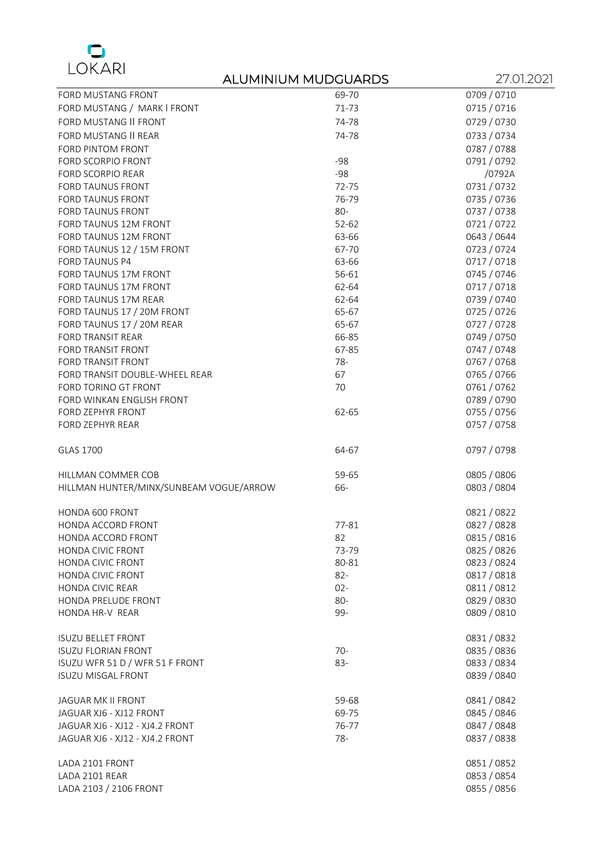

|                                         | ALUMINIUM MUDGUARDS | 27.01.2021  |
|-----------------------------------------|---------------------|-------------|
| FORD MUSTANG FRONT                      | 69-70               | 0709 / 0710 |
| FORD MUSTANG / MARK I FRONT             | 71-73               | 0715 / 0716 |
| <b>FORD MUSTANG II FRONT</b>            | 74-78               | 0729 / 0730 |
| FORD MUSTANG II REAR                    | 74-78               | 0733 / 0734 |
| FORD PINTOM FRONT                       |                     | 0787 / 0788 |
| FORD SCORPIO FRONT                      | $-98$               | 0791/0792   |
| FORD SCORPIO REAR                       | $-98$               | /0792A      |
| FORD TAUNUS FRONT                       | 72-75               | 0731/0732   |
| FORD TAUNUS FRONT                       | 76-79               | 0735 / 0736 |
| FORD TAUNUS FRONT                       | 80-                 | 0737 / 0738 |
| FORD TAUNUS 12M FRONT                   | $52 - 62$           | 0721/0722   |
| FORD TAUNUS 12M FRONT                   | 63-66               | 0643 / 0644 |
| FORD TAUNUS 12 / 15M FRONT              | 67-70               | 0723 / 0724 |
| <b>FORD TAUNUS P4</b>                   | 63-66               | 0717/0718   |
| FORD TAUNUS 17M FRONT                   | 56-61               | 0745 / 0746 |
| FORD TAUNUS 17M FRONT                   | 62-64               | 0717/0718   |
| FORD TAUNUS 17M REAR                    | 62-64               | 0739 / 0740 |
| FORD TAUNUS 17 / 20M FRONT              | 65-67               | 0725 / 0726 |
| FORD TAUNUS 17 / 20M REAR               | 65-67               | 0727 / 0728 |
| FORD TRANSIT REAR                       | 66-85               | 0749 / 0750 |
| FORD TRANSIT FRONT                      | 67-85               | 0747 / 0748 |
| FORD TRANSIT FRONT                      | 78-                 | 0767 / 0768 |
| FORD TRANSIT DOUBLE-WHEEL REAR          | 67                  | 0765 / 0766 |
| FORD TORINO GT FRONT                    | 70                  | 0761/0762   |
| FORD WINKAN ENGLISH FRONT               |                     | 0789 / 0790 |
| FORD ZEPHYR FRONT                       | 62-65               | 0755 / 0756 |
| FORD ZEPHYR REAR                        |                     | 0757 / 0758 |
| <b>GLAS 1700</b>                        | 64-67               | 0797 / 0798 |
| HILLMAN COMMER COB                      | 59-65               | 0805 / 0806 |
| HILLMAN HUNTER/MINX/SUNBEAM VOGUE/ARROW | 66-                 | 0803 / 0804 |
|                                         |                     |             |
| HONDA 600 FRONT                         |                     | 0821/0822   |
| HONDA ACCORD FRONT                      | 77-81               | 0827 / 0828 |
| HONDA ACCORD FRONT                      | 82                  | 0815 / 0816 |
| <b>HONDA CIVIC FRONT</b>                | 73-79               | 0825 / 0826 |
| HONDA CIVIC FRONT                       | 80-81               | 0823 / 0824 |
| <b>HONDA CIVIC FRONT</b>                | $82 -$              | 0817 / 0818 |
| <b>HONDA CIVIC REAR</b>                 | $02 -$              | 0811/0812   |
| HONDA PRELUDE FRONT                     | $80-$               | 0829 / 0830 |
| HONDA HR-V REAR                         | 99-                 | 0809 / 0810 |
| <b>ISUZU BELLET FRONT</b>               |                     | 0831/0832   |
| <b>ISUZU FLORIAN FRONT</b>              | $70-$               | 0835 / 0836 |
| ISUZU WFR 51 D / WFR 51 F FRONT         | 83-                 | 0833 / 0834 |
| <b>ISUZU MISGAL FRONT</b>               |                     | 0839 / 0840 |
|                                         |                     |             |
| JAGUAR MK II FRONT                      | 59-68               | 0841/0842   |
| JAGUAR XJ6 - XJ12 FRONT                 | 69-75               | 0845 / 0846 |
| JAGUAR XJ6 - XJ12 - XJ4.2 FRONT         | 76-77<br>$78-$      | 0847 / 0848 |
| JAGUAR XJ6 - XJ12 - XJ4.2 FRONT         |                     | 0837 / 0838 |
| LADA 2101 FRONT                         |                     | 0851/0852   |
| LADA 2101 REAR                          |                     | 0853 / 0854 |
| LADA 2103 / 2106 FRONT                  |                     | 0855 / 0856 |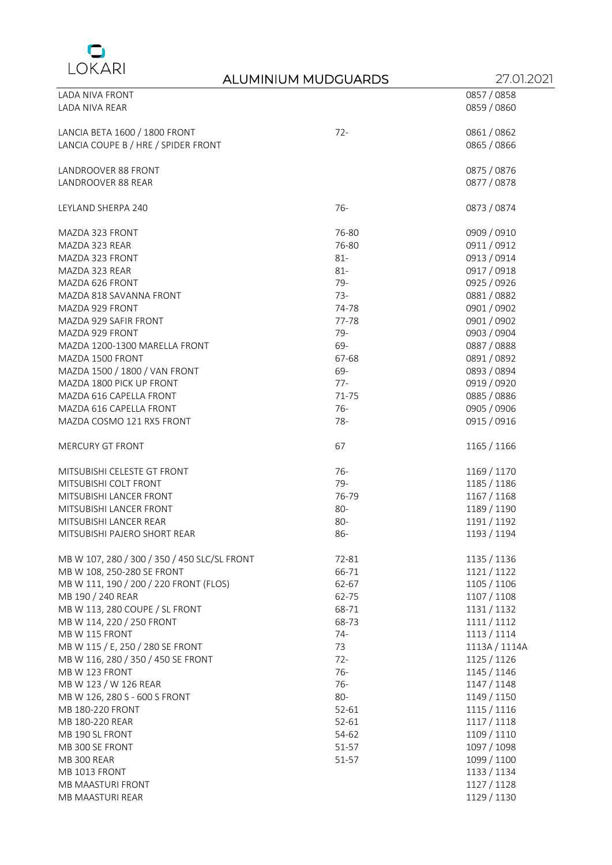

| LADA NIVA FRONT                              |        | 0857 / 0858   |
|----------------------------------------------|--------|---------------|
| LADA NIVA REAR                               |        | 0859 / 0860   |
|                                              |        |               |
| LANCIA BETA 1600 / 1800 FRONT                | $72 -$ | 0861 / 0862   |
| LANCIA COUPE B / HRE / SPIDER FRONT          |        | 0865 / 0866   |
|                                              |        |               |
| LANDROOVER 88 FRONT                          |        | 0875 / 0876   |
| LANDROOVER 88 REAR                           |        | 0877 / 0878   |
|                                              |        |               |
| LEYLAND SHERPA 240                           | $76-$  | 0873 / 0874   |
|                                              |        |               |
| MAZDA 323 FRONT                              | 76-80  | 0909 / 0910   |
| MAZDA 323 REAR                               | 76-80  | 0911/0912     |
| MAZDA 323 FRONT                              | $81 -$ | 0913 / 0914   |
| MAZDA 323 REAR                               | $81 -$ | 0917 / 0918   |
| MAZDA 626 FRONT                              | 79-    | 0925 / 0926   |
| MAZDA 818 SAVANNA FRONT                      | $73-$  | 0881/0882     |
| MAZDA 929 FRONT                              | 74-78  | 0901 / 0902   |
| MAZDA 929 SAFIR FRONT                        | 77-78  | 0901 / 0902   |
| MAZDA 929 FRONT                              | 79-    | 0903 / 0904   |
| MAZDA 1200-1300 MARELLA FRONT                | 69-    | 0887 / 0888   |
| MAZDA 1500 FRONT                             | 67-68  | 0891 / 0892   |
| MAZDA 1500 / 1800 / VAN FRONT                | 69-    | 0893 / 0894   |
| MAZDA 1800 PICK UP FRONT                     | $77-$  | 0919 / 0920   |
| MAZDA 616 CAPELLA FRONT                      | 71-75  | 0885 / 0886   |
| MAZDA 616 CAPELLA FRONT                      | $76-$  | 0905 / 0906   |
| MAZDA COSMO 121 RX5 FRONT                    | $78 -$ | 0915 / 0916   |
|                                              |        |               |
| MERCURY GT FRONT                             | 67     | 1165 / 1166   |
|                                              |        |               |
| MITSUBISHI CELESTE GT FRONT                  | $76-$  | 1169 / 1170   |
| MITSUBISHI COLT FRONT                        | $79 -$ | 1185 / 1186   |
| MITSUBISHI LANCER FRONT                      | 76-79  | 1167 / 1168   |
| MITSUBISHI LANCER FRONT                      | 80-    | 1189 / 1190   |
| MITSUBISHI LANCER REAR                       | 80-    | 1191 / 1192   |
| MITSUBISHI PAJERO SHORT REAR                 | 86-    | 1193 / 1194   |
|                                              |        |               |
| MB W 107, 280 / 300 / 350 / 450 SLC/SL FRONT | 72-81  | 1135 / 1136   |
| MB W 108, 250-280 SE FRONT                   | 66-71  | 1121 / 1122   |
| MB W 111, 190 / 200 / 220 FRONT (FLOS)       | 62-67  | 1105 / 1106   |
| MB 190 / 240 REAR                            | 62-75  | 1107 / 1108   |
| MB W 113, 280 COUPE / SL FRONT               | 68-71  | 1131 / 1132   |
| MB W 114, 220 / 250 FRONT                    | 68-73  | 1111/1112     |
| MB W 115 FRONT                               | $74-$  | 1113 / 1114   |
| MB W 115 / E, 250 / 280 SE FRONT             | 73     | 1113A / 1114A |
| MB W 116, 280 / 350 / 450 SE FRONT           | $72 -$ | 1125 / 1126   |
| MB W 123 FRONT                               | $76-$  | 1145 / 1146   |
| MB W 123 / W 126 REAR                        | $76-$  | 1147 / 1148   |
| MB W 126, 280 S - 600 S FRONT                | 80-    | 1149 / 1150   |
| MB 180-220 FRONT                             | 52-61  | 1115 / 1116   |
| MB 180-220 REAR                              | 52-61  | 1117/1118     |
| MB 190 SL FRONT                              | 54-62  | 1109 / 1110   |
| MB 300 SE FRONT                              | 51-57  | 1097 / 1098   |
| MB 300 REAR                                  | 51-57  | 1099 / 1100   |
| MB 1013 FRONT                                |        | 1133 / 1134   |
| MB MAASTURI FRONT                            |        | 1127 / 1128   |
| MB MAASTURI REAR                             |        | 1129 / 1130   |
|                                              |        |               |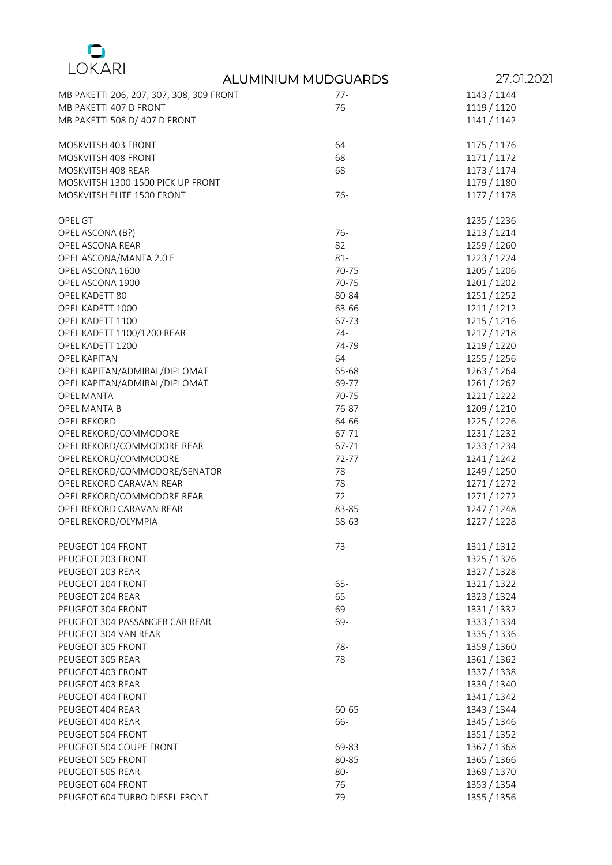

|                                          | ALUMINIUM MUDGUARDS | 27.01.2021  |
|------------------------------------------|---------------------|-------------|
| MB PAKETTI 206, 207, 307, 308, 309 FRONT | $77-$               | 1143 / 1144 |
| MB PAKETTI 407 D FRONT                   | 76                  | 1119 / 1120 |
| MB PAKETTI 508 D/ 407 D FRONT            |                     | 1141 / 1142 |
|                                          |                     |             |
| MOSKVITSH 403 FRONT                      | 64                  | 1175 / 1176 |
| MOSKVITSH 408 FRONT                      | 68                  | 1171 / 1172 |
| MOSKVITSH 408 REAR                       | 68                  | 1173 / 1174 |
| MOSKVITSH 1300-1500 PICK UP FRONT        |                     | 1179 / 1180 |
| MOSKVITSH ELITE 1500 FRONT               | $76-$               | 1177 / 1178 |
|                                          |                     |             |
| OPEL GT                                  |                     | 1235 / 1236 |
| OPEL ASCONA (B?)                         | $76-$               | 1213 / 1214 |
| OPEL ASCONA REAR                         | $82 -$              | 1259 / 1260 |
| OPEL ASCONA/MANTA 2.0 E                  | $81 -$              | 1223 / 1224 |
| OPEL ASCONA 1600                         | 70-75               | 1205 / 1206 |
| OPEL ASCONA 1900                         | 70-75               | 1201 / 1202 |
| OPEL KADETT 80                           | 80-84               | 1251 / 1252 |
| OPEL KADETT 1000                         | 63-66               | 1211 / 1212 |
| OPEL KADETT 1100                         | 67-73               | 1215 / 1216 |
| OPEL KADETT 1100/1200 REAR               | $74-$               | 1217 / 1218 |
| OPEL KADETT 1200                         | 74-79               | 1219 / 1220 |
| OPEL KAPITAN                             | 64                  | 1255 / 1256 |
| OPEL KAPITAN/ADMIRAL/DIPLOMAT            | 65-68               | 1263 / 1264 |
| OPEL KAPITAN/ADMIRAL/DIPLOMAT            | 69-77               | 1261 / 1262 |
| <b>OPEL MANTA</b>                        | 70-75               | 1221/1222   |
| OPEL MANTA B                             | 76-87               | 1209 / 1210 |
| <b>OPEL REKORD</b>                       | 64-66               | 1225 / 1226 |
| OPEL REKORD/COMMODORE                    | 67-71               | 1231 / 1232 |
| OPEL REKORD/COMMODORE REAR               | 67-71               | 1233 / 1234 |
| OPEL REKORD/COMMODORE                    | 72-77               | 1241 / 1242 |
| OPEL REKORD/COMMODORE/SENATOR            | $78-$               | 1249 / 1250 |
| OPEL REKORD CARAVAN REAR                 | 78-                 | 1271 / 1272 |
| OPEL REKORD/COMMODORE REAR               | $72 -$              | 1271 / 1272 |
| OPEL REKORD CARAVAN REAR                 | 83-85               | 1247 / 1248 |
| OPEL REKORD/OLYMPIA                      | 58-63               | 1227 / 1228 |
|                                          |                     |             |
| PEUGEOT 104 FRONT                        | $73-$               | 1311 / 1312 |
| PEUGEOT 203 FRONT                        |                     | 1325 / 1326 |
| PEUGEOT 203 REAR                         |                     | 1327 / 1328 |
| PEUGEOT 204 FRONT                        | $65 -$              | 1321/1322   |
| PEUGEOT 204 REAR                         | $65 -$              | 1323 / 1324 |
| PEUGEOT 304 FRONT                        | 69-                 | 1331 / 1332 |
| PEUGEOT 304 PASSANGER CAR REAR           | 69-                 | 1333 / 1334 |
| PEUGEOT 304 VAN REAR                     |                     | 1335 / 1336 |
| PEUGEOT 305 FRONT                        | $78 -$              | 1359 / 1360 |
| PEUGEOT 305 REAR                         | $78 -$              | 1361 / 1362 |
| PEUGEOT 403 FRONT                        |                     | 1337 / 1338 |
| PEUGEOT 403 REAR                         |                     | 1339 / 1340 |
| PEUGEOT 404 FRONT                        |                     | 1341 / 1342 |
| PEUGEOT 404 REAR                         | 60-65               | 1343 / 1344 |
| PEUGEOT 404 REAR                         | 66-                 | 1345 / 1346 |
| PEUGEOT 504 FRONT                        |                     | 1351 / 1352 |
| PEUGEOT 504 COUPE FRONT                  | 69-83               | 1367 / 1368 |
| PEUGEOT 505 FRONT                        | 80-85               | 1365 / 1366 |
| PEUGEOT 505 REAR                         | 80-                 | 1369 / 1370 |
| PEUGEOT 604 FRONT                        | $76-$               | 1353 / 1354 |
| PEUGEOT 604 TURBO DIESEL FRONT           | 79                  | 1355 / 1356 |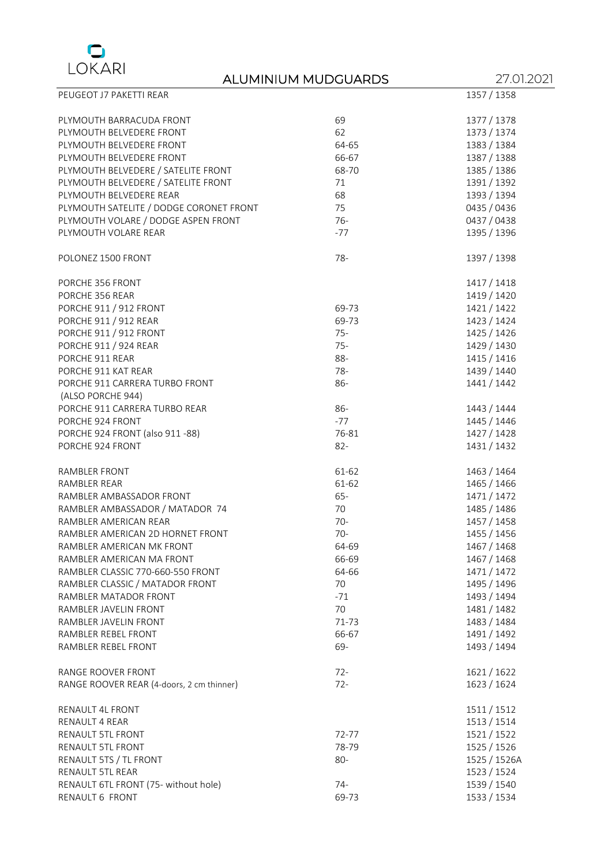

| PEUGEOT J7 PAKETTI REAR                   |        | 1357 / 1358  |
|-------------------------------------------|--------|--------------|
| PLYMOUTH BARRACUDA FRONT                  | 69     | 1377 / 1378  |
| PLYMOUTH BELVEDERE FRONT                  | 62     | 1373 / 1374  |
| PLYMOUTH BELVEDERE FRONT                  | 64-65  | 1383 / 1384  |
| PLYMOUTH BELVEDERE FRONT                  | 66-67  | 1387 / 1388  |
| PLYMOUTH BELVEDERE / SATELITE FRONT       | 68-70  | 1385 / 1386  |
| PLYMOUTH BELVEDERE / SATELITE FRONT       | 71     | 1391 / 1392  |
| PLYMOUTH BELVEDERE REAR                   | 68     | 1393 / 1394  |
| PLYMOUTH SATELITE / DODGE CORONET FRONT   | 75     | 0435 / 0436  |
| PLYMOUTH VOLARE / DODGE ASPEN FRONT       | $76 -$ | 0437 / 0438  |
| PLYMOUTH VOLARE REAR                      | $-77$  | 1395 / 1396  |
|                                           |        |              |
| POLONEZ 1500 FRONT                        | $78 -$ | 1397 / 1398  |
| PORCHE 356 FRONT                          |        | 1417 / 1418  |
| PORCHE 356 REAR                           |        | 1419 / 1420  |
| PORCHE 911 / 912 FRONT                    | 69-73  | 1421 / 1422  |
| PORCHE 911 / 912 REAR                     | 69-73  | 1423 / 1424  |
| PORCHE 911 / 912 FRONT                    | $75 -$ | 1425 / 1426  |
| PORCHE 911 / 924 REAR                     | $75 -$ | 1429 / 1430  |
| PORCHE 911 REAR                           | 88-    | 1415 / 1416  |
| PORCHE 911 KAT REAR                       | 78-    | 1439 / 1440  |
| PORCHE 911 CARRERA TURBO FRONT            | 86-    | 1441 / 1442  |
| (ALSO PORCHE 944)                         |        |              |
| PORCHE 911 CARRERA TURBO REAR             | 86-    | 1443 / 1444  |
| PORCHE 924 FRONT                          | $-77$  | 1445 / 1446  |
| PORCHE 924 FRONT (also 911 -88)           | 76-81  | 1427 / 1428  |
| PORCHE 924 FRONT                          | $82 -$ | 1431 / 1432  |
| RAMBLER FRONT                             | 61-62  | 1463 / 1464  |
| RAMBLER REAR                              | 61-62  | 1465 / 1466  |
| RAMBLER AMBASSADOR FRONT                  | $65 -$ | 1471 / 1472  |
| RAMBLER AMBASSADOR / MATADOR 74           | 70     | 1485 / 1486  |
| RAMBLER AMERICAN REAR                     | $70-$  | 1457 / 1458  |
| RAMBLER AMERICAN 2D HORNET FRONT          | $70-$  | 1455 / 1456  |
|                                           |        |              |
| RAMBLER AMERICAN MK FRONT                 | 64-69  | 1467 / 1468  |
| RAMBLER AMERICAN MA FRONT                 | 66-69  | 1467 / 1468  |
| RAMBLER CLASSIC 770-660-550 FRONT         | 64-66  | 1471 / 1472  |
| RAMBLER CLASSIC / MATADOR FRONT           | 70     | 1495 / 1496  |
| RAMBLER MATADOR FRONT                     | $-71$  | 1493 / 1494  |
| RAMBLER JAVELIN FRONT                     | 70     | 1481 / 1482  |
| RAMBLER JAVELIN FRONT                     | 71-73  | 1483 / 1484  |
| RAMBLER REBEL FRONT                       | 66-67  | 1491 / 1492  |
| RAMBLER REBEL FRONT                       | 69-    | 1493 / 1494  |
| RANGE ROOVER FRONT                        | $72 -$ | 1621 / 1622  |
| RANGE ROOVER REAR (4-doors, 2 cm thinner) | $72 -$ | 1623 / 1624  |
| RENAULT 4L FRONT                          |        | 1511 / 1512  |
| RENAULT 4 REAR                            |        | 1513 / 1514  |
| RENAULT 5TL FRONT                         | 72-77  | 1521 / 1522  |
| RENAULT 5TL FRONT                         | 78-79  | 1525 / 1526  |
| RENAULT 5TS / TL FRONT                    | 80-    | 1525 / 1526A |
| RENAULT 5TL REAR                          |        | 1523 / 1524  |
| RENAULT 6TL FRONT (75- without hole)      | $74-$  | 1539 / 1540  |
| RENAULT 6 FRONT                           | 69-73  | 1533 / 1534  |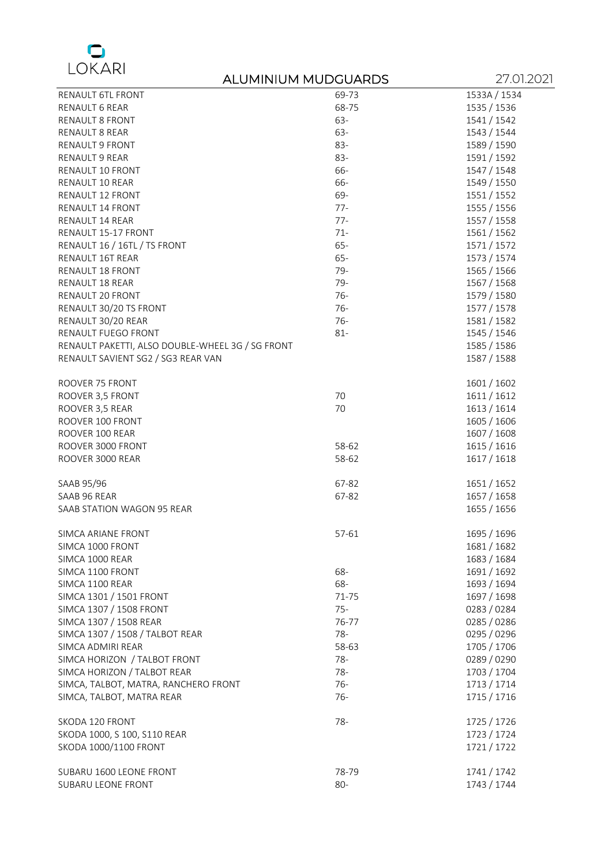

|                                                  | ALUMINIUM MUDGUARDS | 27.01.2021   |
|--------------------------------------------------|---------------------|--------------|
| RENAULT 6TL FRONT                                | 69-73               | 1533A / 1534 |
| RENAULT 6 REAR                                   | 68-75               | 1535 / 1536  |
| RENAULT 8 FRONT                                  | 63-                 | 1541 / 1542  |
| RENAULT 8 REAR                                   | 63-                 | 1543 / 1544  |
| RENAULT 9 FRONT                                  | 83-                 | 1589 / 1590  |
| RENAULT 9 REAR                                   | 83-                 | 1591 / 1592  |
| RENAULT 10 FRONT                                 | 66-                 | 1547 / 1548  |
| RENAULT 10 REAR                                  | 66-                 | 1549 / 1550  |
| RENAULT 12 FRONT                                 | 69-                 | 1551 / 1552  |
| RENAULT 14 FRONT                                 | $77 -$              | 1555 / 1556  |
| RENAULT 14 REAR                                  | $77 -$              | 1557 / 1558  |
| RENAULT 15-17 FRONT                              | $71 -$              | 1561 / 1562  |
| RENAULT 16 / 16TL / TS FRONT                     | 65-                 | 1571 / 1572  |
| RENAULT 16T REAR                                 | 65-                 | 1573 / 1574  |
| RENAULT 18 FRONT                                 | 79-                 | 1565 / 1566  |
| RENAULT 18 REAR                                  | 79-                 | 1567 / 1568  |
| RENAULT 20 FRONT                                 | $76-$               | 1579 / 1580  |
| RENAULT 30/20 TS FRONT                           | $76-$               | 1577 / 1578  |
| RENAULT 30/20 REAR                               | $76-$               | 1581 / 1582  |
| RENAULT FUEGO FRONT                              | $81 -$              | 1545 / 1546  |
| RENAULT PAKETTI, ALSO DOUBLE-WHEEL 3G / SG FRONT |                     | 1585 / 1586  |
| RENAULT SAVIENT SG2 / SG3 REAR VAN               |                     | 1587 / 1588  |
|                                                  |                     |              |
| ROOVER 75 FRONT                                  |                     | 1601 / 1602  |
| ROOVER 3,5 FRONT                                 | 70                  | 1611/1612    |
| ROOVER 3,5 REAR                                  | 70                  | 1613 / 1614  |
| ROOVER 100 FRONT                                 |                     | 1605 / 1606  |
| ROOVER 100 REAR                                  |                     | 1607 / 1608  |
| ROOVER 3000 FRONT                                | 58-62               | 1615 / 1616  |
| ROOVER 3000 REAR                                 | 58-62               | 1617 / 1618  |
|                                                  |                     |              |
| SAAB 95/96                                       | 67-82               | 1651 / 1652  |
| SAAB 96 REAR                                     | 67-82               | 1657 / 1658  |
| SAAB STATION WAGON 95 REAR                       |                     | 1655 / 1656  |
|                                                  |                     |              |
| SIMCA ARIANE FRONT                               | 57-61               | 1695 / 1696  |
| SIMCA 1000 FRONT                                 |                     | 1681 / 1682  |
| SIMCA 1000 REAR                                  |                     | 1683 / 1684  |
| SIMCA 1100 FRONT                                 | 68-                 | 1691 / 1692  |
| SIMCA 1100 REAR                                  | 68-                 | 1693 / 1694  |
| SIMCA 1301 / 1501 FRONT                          | 71-75               | 1697 / 1698  |
| SIMCA 1307 / 1508 FRONT                          | $75 -$              | 0283 / 0284  |
| SIMCA 1307 / 1508 REAR                           | 76-77               | 0285 / 0286  |
| SIMCA 1307 / 1508 / TALBOT REAR                  | 78-                 | 0295 / 0296  |
| SIMCA ADMIRI REAR                                | 58-63               | 1705 / 1706  |
| SIMCA HORIZON / TALBOT FRONT                     | 78-                 | 0289 / 0290  |
| SIMCA HORIZON / TALBOT REAR                      | 78-                 | 1703 / 1704  |
| SIMCA, TALBOT, MATRA, RANCHERO FRONT             | 76-                 | 1713 / 1714  |
| SIMCA, TALBOT, MATRA REAR                        | $76-$               | 1715 / 1716  |
|                                                  |                     |              |
| SKODA 120 FRONT                                  | 78-                 | 1725 / 1726  |
| SKODA 1000, S 100, S110 REAR                     |                     | 1723 / 1724  |
| SKODA 1000/1100 FRONT                            |                     | 1721 / 1722  |
|                                                  |                     |              |
| SUBARU 1600 LEONE FRONT                          | 78-79               | 1741 / 1742  |
| SUBARU LEONE FRONT                               | 80-                 | 1743 / 1744  |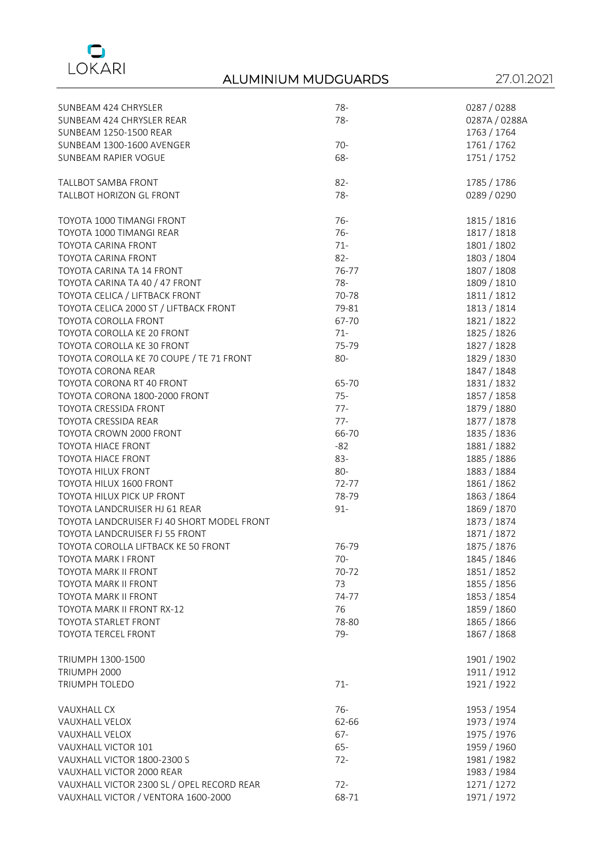

| SUNBEAM 424 CHRYSLER                       | 78-    | 0287 / 0288   |
|--------------------------------------------|--------|---------------|
| SUNBEAM 424 CHRYSLER REAR                  | 78-    | 0287A / 0288A |
| SUNBEAM 1250-1500 REAR                     |        | 1763 / 1764   |
| SUNBEAM 1300-1600 AVENGER                  | $70-$  | 1761 / 1762   |
| SUNBEAM RAPIER VOGUE                       | 68-    | 1751 / 1752   |
|                                            |        |               |
| TALLBOT SAMBA FRONT                        | $82 -$ | 1785 / 1786   |
| TALLBOT HORIZON GL FRONT                   | 78-    | 0289 / 0290   |
|                                            |        |               |
| TOYOTA 1000 TIMANGI FRONT                  | $76-$  | 1815 / 1816   |
| TOYOTA 1000 TIMANGI REAR                   | $76-$  | 1817 / 1818   |
| <b>TOYOTA CARINA FRONT</b>                 | $71 -$ | 1801 / 1802   |
| TOYOTA CARINA FRONT                        | $82 -$ | 1803 / 1804   |
| TOYOTA CARINA TA 14 FRONT                  | 76-77  | 1807 / 1808   |
| TOYOTA CARINA TA 40 / 47 FRONT             | 78-    | 1809 / 1810   |
| TOYOTA CELICA / LIFTBACK FRONT             | 70-78  | 1811 / 1812   |
| TOYOTA CELICA 2000 ST / LIFTBACK FRONT     | 79-81  | 1813 / 1814   |
| TOYOTA COROLLA FRONT                       | 67-70  | 1821/1822     |
| TOYOTA COROLLA KE 20 FRONT                 | $71 -$ | 1825 / 1826   |
| TOYOTA COROLLA KE 30 FRONT                 | 75-79  | 1827 / 1828   |
| TOYOTA COROLLA KE 70 COUPE / TE 71 FRONT   | $80-$  | 1829 / 1830   |
| TOYOTA CORONA REAR                         |        | 1847 / 1848   |
| TOYOTA CORONA RT 40 FRONT                  | 65-70  | 1831/1832     |
| TOYOTA CORONA 1800-2000 FRONT              | $75 -$ | 1857 / 1858   |
| TOYOTA CRESSIDA FRONT                      | $77 -$ |               |
| TOYOTA CRESSIDA REAR                       | $77-$  | 1879 / 1880   |
|                                            | 66-70  | 1877 / 1878   |
| TOYOTA CROWN 2000 FRONT                    |        | 1835 / 1836   |
| <b>TOYOTA HIACE FRONT</b>                  | $-82$  | 1881/1882     |
| <b>TOYOTA HIACE FRONT</b>                  | 83-    | 1885 / 1886   |
| TOYOTA HILUX FRONT                         | 80-    | 1883 / 1884   |
| TOYOTA HILUX 1600 FRONT                    | 72-77  | 1861 / 1862   |
| TOYOTA HILUX PICK UP FRONT                 | 78-79  | 1863 / 1864   |
| TOYOTA LANDCRUISER HJ 61 REAR              | $91 -$ | 1869 / 1870   |
| TOYOTA LANDCRUISER FJ 40 SHORT MODEL FRONT |        | 1873 / 1874   |
| TOYOTA LANDCRUISER FJ 55 FRONT             |        | 1871 / 1872   |
| TOYOTA COROLLA LIFTBACK KE 50 FRONT        | 76-79  | 1875 / 1876   |
| TOYOTA MARK I FRONT                        | 70-    | 1845 / 1846   |
| <b>TOYOTA MARK II FRONT</b>                | 70-72  | 1851 / 1852   |
| TOYOTA MARK II FRONT                       | 73     | 1855 / 1856   |
| <b>TOYOTA MARK II FRONT</b>                | 74-77  | 1853 / 1854   |
| TOYOTA MARK II FRONT RX-12                 | 76     | 1859 / 1860   |
| TOYOTA STARLET FRONT                       | 78-80  | 1865 / 1866   |
| TOYOTA TERCEL FRONT                        | 79-    | 1867 / 1868   |
|                                            |        |               |
| TRIUMPH 1300-1500                          |        | 1901 / 1902   |
| TRIUMPH 2000                               |        | 1911 / 1912   |
| TRIUMPH TOLEDO                             | $71 -$ | 1921 / 1922   |
|                                            |        |               |
| VAUXHALL CX                                | $76-$  | 1953 / 1954   |
| <b>VAUXHALL VELOX</b>                      | 62-66  | 1973 / 1974   |
| VAUXHALL VELOX                             | $67 -$ | 1975 / 1976   |
| VAUXHALL VICTOR 101                        | $65 -$ | 1959 / 1960   |
| VAUXHALL VICTOR 1800-2300 S                | $72 -$ | 1981 / 1982   |
| VAUXHALL VICTOR 2000 REAR                  |        | 1983 / 1984   |
| VAUXHALL VICTOR 2300 SL / OPEL RECORD REAR | $72 -$ | 1271 / 1272   |
| VAUXHALL VICTOR / VENTORA 1600-2000        | 68-71  | 1971 / 1972   |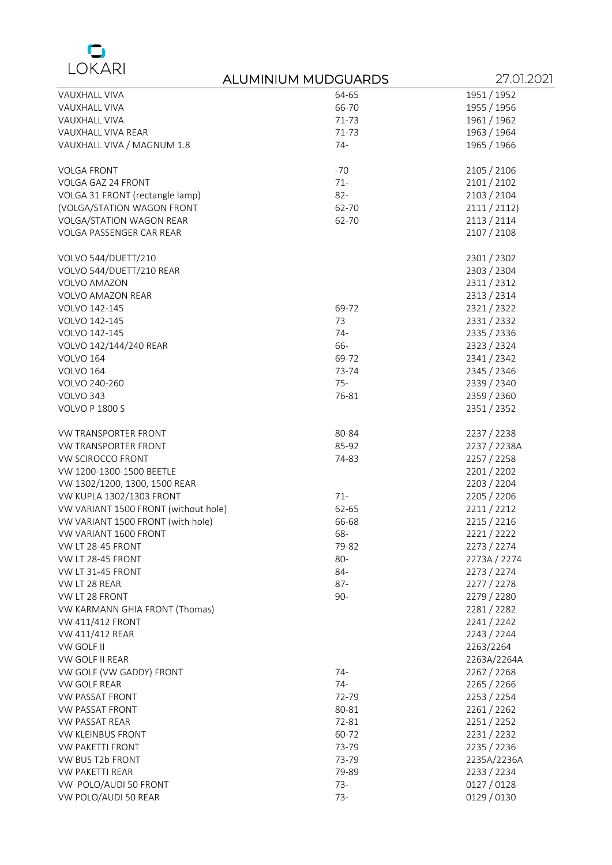

|                                      | ALUMINIUM MUDGUARDS | 27.01.2021   |
|--------------------------------------|---------------------|--------------|
| VAUXHALL VIVA                        | 64-65               | 1951 / 1952  |
| VAUXHALL VIVA                        | 66-70               | 1955 / 1956  |
| VAUXHALL VIVA                        | 71-73               | 1961 / 1962  |
| VAUXHALL VIVA REAR                   | 71-73               | 1963 / 1964  |
| VAUXHALL VIVA / MAGNUM 1.8           | $74-$               | 1965 / 1966  |
| <b>VOLGA FRONT</b>                   | $-70$               | 2105 / 2106  |
| VOLGA GAZ 24 FRONT                   | $71 -$              | 2101 / 2102  |
| VOLGA 31 FRONT (rectangle lamp)      | $82 -$              | 2103 / 2104  |
| (VOLGA/STATION WAGON FRONT           | 62-70               | 2111 / 2112  |
| VOLGA/STATION WAGON REAR             | 62-70               | 2113 / 2114  |
| VOLGA PASSENGER CAR REAR             |                     | 2107 / 2108  |
| VOLVO 544/DUETT/210                  |                     | 2301 / 2302  |
| VOLVO 544/DUETT/210 REAR             |                     | 2303 / 2304  |
| VOLVO AMAZON                         |                     | 2311/2312    |
| <b>VOLVO AMAZON REAR</b>             |                     | 2313 / 2314  |
| VOLVO 142-145                        | 69-72               | 2321/2322    |
| VOLVO 142-145                        | 73                  | 2331/2332    |
| VOLVO 142-145                        | $74-$               | 2335 / 2336  |
| VOLVO 142/144/240 REAR               | 66-                 | 2323 / 2324  |
| VOLVO 164                            | 69-72               | 2341 / 2342  |
| <b>VOLVO 164</b>                     | 73-74               | 2345 / 2346  |
| VOLVO 240-260                        | $75 -$              | 2339 / 2340  |
| VOLVO 343                            | 76-81               | 2359 / 2360  |
| <b>VOLVO P 1800 S</b>                |                     | 2351 / 2352  |
| VW TRANSPORTER FRONT                 | 80-84               | 2237 / 2238  |
| VW TRANSPORTER FRONT                 | 85-92               | 2237 / 2238A |
| VW SCIROCCO FRONT                    | 74-83               | 2257 / 2258  |
| VW 1200-1300-1500 BEETLE             |                     | 2201 / 2202  |
| VW 1302/1200, 1300, 1500 REAR        |                     | 2203 / 2204  |
| VW KUPLA 1302/1303 FRONT             | $71 -$              | 2205 / 2206  |
| VW VARIANT 1500 FRONT (without hole) | 62-65               | 2211/2212    |
| VW VARIANT 1500 FRONT (with hole)    | 66-68               | 2215 / 2216  |
| VW VARIANT 1600 FRONT                | 68-                 | 2221/2222    |
| VW LT 28-45 FRONT                    | 79-82               | 2273 / 2274  |
| VW LT 28-45 FRONT                    | 80-                 | 2273A / 2274 |
| VW LT 31-45 FRONT                    | 84-                 | 2273 / 2274  |
| VW LT 28 REAR                        | 87-                 | 2277 / 2278  |
| VW LT 28 FRONT                       | $90 -$              | 2279 / 2280  |
| VW KARMANN GHIA FRONT (Thomas)       |                     | 2281/2282    |
| VW 411/412 FRONT                     |                     | 2241/2242    |
| VW 411/412 REAR                      |                     | 2243 / 2244  |
| VW GOLF II                           |                     | 2263/2264    |
| VW GOLF II REAR                      |                     | 2263A/2264A  |
| VW GOLF (VW GADDY) FRONT             | $74-$               | 2267 / 2268  |
| VW GOLF REAR                         | $74-$               | 2265 / 2266  |
| <b>VW PASSAT FRONT</b>               | 72-79               | 2253 / 2254  |
| VW PASSAT FRONT                      | 80-81               | 2261/2262    |
| <b>VW PASSAT REAR</b>                | 72-81               | 2251/2252    |
| VW KLEINBUS FRONT                    | 60-72               | 2231/2232    |
| <b>VW PAKETTI FRONT</b>              | 73-79               | 2235 / 2236  |
| VW BUS T2b FRONT                     | 73-79               | 2235A/2236A  |
| <b>VW PAKETTI REAR</b>               | 79-89               | 2233 / 2234  |
| VW POLO/AUDI 50 FRONT                | $73-$               | 0127 / 0128  |
| VW POLO/AUDI 50 REAR                 | $73-$               | 0129 / 0130  |